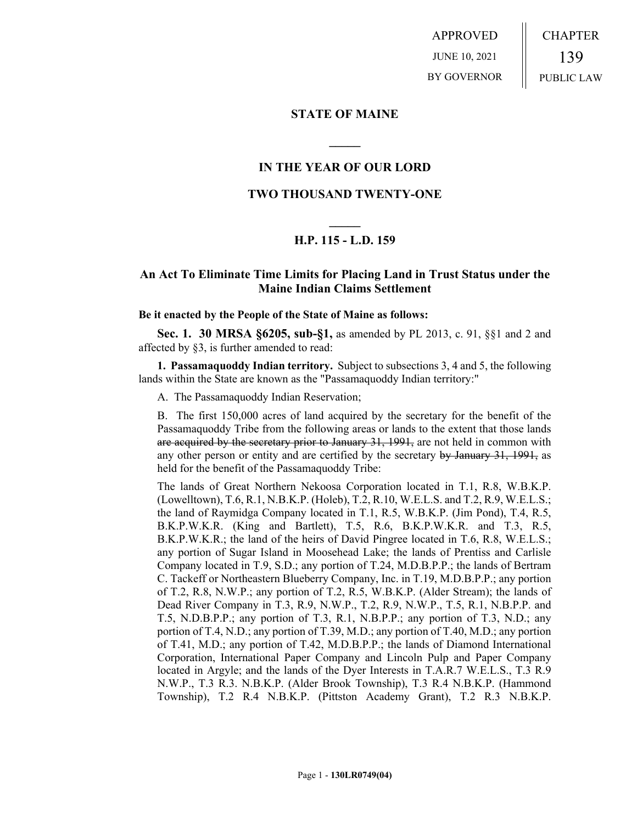APPROVED JUNE 10, 2021 BY GOVERNOR CHAPTER 139 PUBLIC LAW

### **STATE OF MAINE**

# **IN THE YEAR OF OUR LORD**

**\_\_\_\_\_**

# **TWO THOUSAND TWENTY-ONE**

# **\_\_\_\_\_ H.P. 115 - L.D. 159**

# **An Act To Eliminate Time Limits for Placing Land in Trust Status under the Maine Indian Claims Settlement**

#### **Be it enacted by the People of the State of Maine as follows:**

**Sec. 1. 30 MRSA §6205, sub-§1,** as amended by PL 2013, c. 91, §§1 and 2 and affected by §3, is further amended to read:

**1. Passamaquoddy Indian territory.** Subject to subsections 3, 4 and 5, the following lands within the State are known as the "Passamaquoddy Indian territory:"

A. The Passamaquoddy Indian Reservation;

B. The first 150,000 acres of land acquired by the secretary for the benefit of the Passamaquoddy Tribe from the following areas or lands to the extent that those lands are acquired by the secretary prior to January 31, 1991, are not held in common with any other person or entity and are certified by the secretary by January 31, 1991, as held for the benefit of the Passamaquoddy Tribe:

The lands of Great Northern Nekoosa Corporation located in T.1, R.8, W.B.K.P. (Lowelltown), T.6, R.1, N.B.K.P. (Holeb), T.2, R.10, W.E.L.S. and T.2, R.9, W.E.L.S.; the land of Raymidga Company located in T.1, R.5, W.B.K.P. (Jim Pond), T.4, R.5, B.K.P.W.K.R. (King and Bartlett), T.5, R.6, B.K.P.W.K.R. and T.3, R.5, B.K.P.W.K.R.; the land of the heirs of David Pingree located in T.6, R.8, W.E.L.S.; any portion of Sugar Island in Moosehead Lake; the lands of Prentiss and Carlisle Company located in T.9, S.D.; any portion of T.24, M.D.B.P.P.; the lands of Bertram C. Tackeff or Northeastern Blueberry Company, Inc. in T.19, M.D.B.P.P.; any portion of T.2, R.8, N.W.P.; any portion of T.2, R.5, W.B.K.P. (Alder Stream); the lands of Dead River Company in T.3, R.9, N.W.P., T.2, R.9, N.W.P., T.5, R.1, N.B.P.P. and T.5, N.D.B.P.P.; any portion of T.3, R.1, N.B.P.P.; any portion of T.3, N.D.; any portion of T.4, N.D.; any portion of T.39, M.D.; any portion of T.40, M.D.; any portion of T.41, M.D.; any portion of T.42, M.D.B.P.P.; the lands of Diamond International Corporation, International Paper Company and Lincoln Pulp and Paper Company located in Argyle; and the lands of the Dyer Interests in T.A.R.7 W.E.L.S., T.3 R.9 N.W.P., T.3 R.3. N.B.K.P. (Alder Brook Township), T.3 R.4 N.B.K.P. (Hammond Township), T.2 R.4 N.B.K.P. (Pittston Academy Grant), T.2 R.3 N.B.K.P.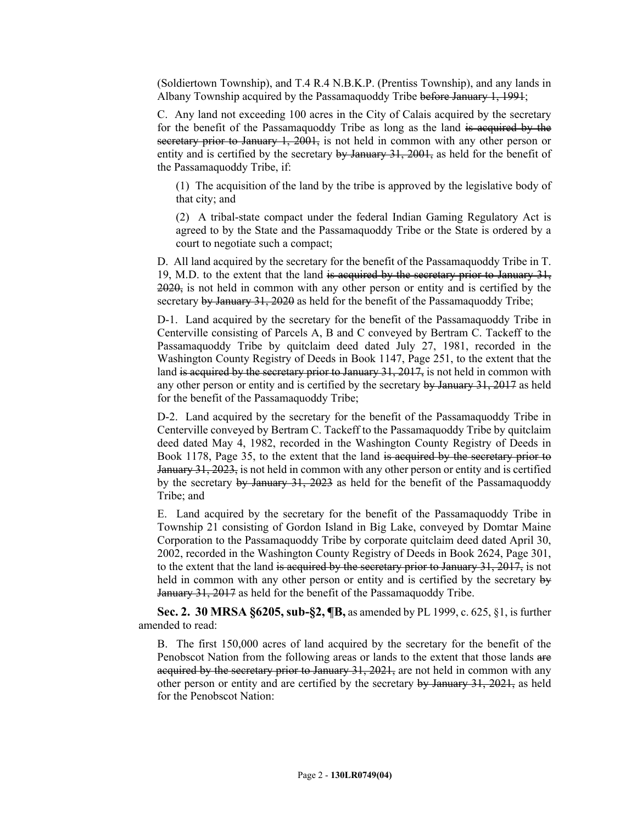(Soldiertown Township), and T.4 R.4 N.B.K.P. (Prentiss Township), and any lands in Albany Township acquired by the Passamaquoddy Tribe before January 1, 1991;

C. Any land not exceeding 100 acres in the City of Calais acquired by the secretary for the benefit of the Passamaquoddy Tribe as long as the land is acquired by the secretary prior to January 1, 2001, is not held in common with any other person or entity and is certified by the secretary by January 31, 2001, as held for the benefit of the Passamaquoddy Tribe, if:

(1) The acquisition of the land by the tribe is approved by the legislative body of that city; and

(2) A tribal-state compact under the federal Indian Gaming Regulatory Act is agreed to by the State and the Passamaquoddy Tribe or the State is ordered by a court to negotiate such a compact;

D. All land acquired by the secretary for the benefit of the Passamaquoddy Tribe in T. 19, M.D. to the extent that the land is acquired by the secretary prior to January 31, 2020, is not held in common with any other person or entity and is certified by the secretary by January 31, 2020 as held for the benefit of the Passamaguoddy Tribe;

D-1. Land acquired by the secretary for the benefit of the Passamaquoddy Tribe in Centerville consisting of Parcels A, B and C conveyed by Bertram C. Tackeff to the Passamaquoddy Tribe by quitclaim deed dated July 27, 1981, recorded in the Washington County Registry of Deeds in Book 1147, Page 251, to the extent that the land is acquired by the secretary prior to January 31, 2017, is not held in common with any other person or entity and is certified by the secretary by January 31, 2017 as held for the benefit of the Passamaquoddy Tribe;

D-2. Land acquired by the secretary for the benefit of the Passamaquoddy Tribe in Centerville conveyed by Bertram C. Tackeff to the Passamaquoddy Tribe by quitclaim deed dated May 4, 1982, recorded in the Washington County Registry of Deeds in Book 1178, Page 35, to the extent that the land is acquired by the secretary prior to January 31, 2023, is not held in common with any other person or entity and is certified by the secretary by January 31, 2023 as held for the benefit of the Passamaquoddy Tribe; and

E. Land acquired by the secretary for the benefit of the Passamaquoddy Tribe in Township 21 consisting of Gordon Island in Big Lake, conveyed by Domtar Maine Corporation to the Passamaquoddy Tribe by corporate quitclaim deed dated April 30, 2002, recorded in the Washington County Registry of Deeds in Book 2624, Page 301, to the extent that the land is acquired by the secretary prior to January 31, 2017, is not held in common with any other person or entity and is certified by the secretary by January 31, 2017 as held for the benefit of the Passamaquoddy Tribe.

**Sec. 2. 30 MRSA §6205, sub-§2, ¶B,** as amended by PL 1999, c. 625, §1, is further amended to read:

B. The first 150,000 acres of land acquired by the secretary for the benefit of the Penobscot Nation from the following areas or lands to the extent that those lands are acquired by the secretary prior to January  $31, 2021$ , are not held in common with any other person or entity and are certified by the secretary by January 31, 2021, as held for the Penobscot Nation: